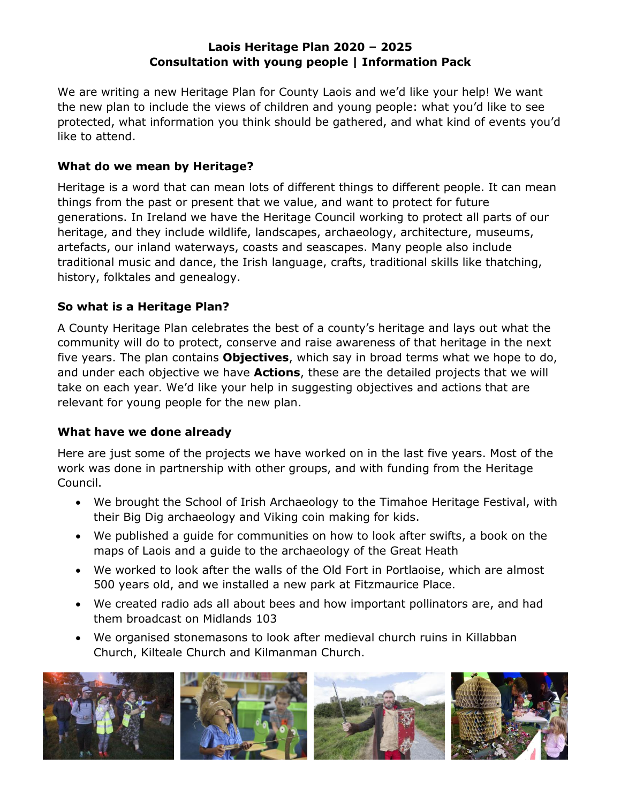#### **Laois Heritage Plan 2020 – 2025 Consultation with young people | Information Pack**

We are writing a new Heritage Plan for County Laois and we'd like your help! We want the new plan to include the views of children and young people: what you'd like to see protected, what information you think should be gathered, and what kind of events you'd like to attend.

## **What do we mean by Heritage?**

Heritage is a word that can mean lots of different things to different people. It can mean things from the past or present that we value, and want to protect for future generations. In Ireland we have the Heritage Council working to protect all parts of our heritage, and they include wildlife, landscapes, archaeology, architecture, museums, artefacts, our inland waterways, coasts and seascapes. Many people also include traditional music and dance, the Irish language, crafts, traditional skills like thatching, history, folktales and genealogy.

# **So what is a Heritage Plan?**

A County Heritage Plan celebrates the best of a county's heritage and lays out what the community will do to protect, conserve and raise awareness of that heritage in the next five years. The plan contains **Objectives**, which say in broad terms what we hope to do, and under each objective we have **Actions**, these are the detailed projects that we will take on each year. We'd like your help in suggesting objectives and actions that are relevant for young people for the new plan.

# **What have we done already**

Here are just some of the projects we have worked on in the last five years. Most of the work was done in partnership with other groups, and with funding from the Heritage Council.

- We brought the School of Irish Archaeology to the Timahoe Heritage Festival, with their Big Dig archaeology and Viking coin making for kids.
- We published a guide for communities on how to look after swifts, a book on the maps of Laois and a guide to the archaeology of the Great Heath
- We worked to look after the walls of the Old Fort in Portlaoise, which are almost 500 years old, and we installed a new park at Fitzmaurice Place.
- We created radio ads all about bees and how important pollinators are, and had them broadcast on Midlands 103
- We organised stonemasons to look after medieval church ruins in Killabban Church, Kilteale Church and Kilmanman Church.